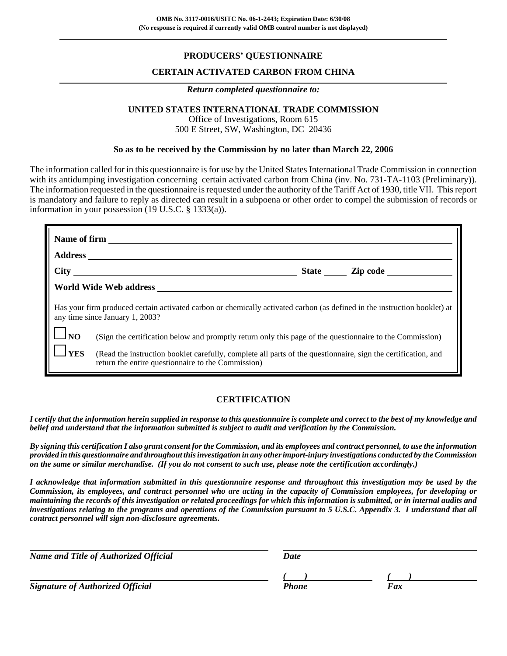## **PRODUCERS' QUESTIONNAIRE**

### **CERTAIN ACTIVATED CARBON FROM CHINA**

#### *Return completed questionnaire to:*

# **UNITED STATES INTERNATIONAL TRADE COMMISSION**

Office of Investigations, Room 615 500 E Street, SW, Washington, DC 20436

#### **So as to be received by the Commission by no later than March 22, 2006**

The information called for in this questionnaire is for use by the United States International Trade Commission in connection with its antidumping investigation concerning certain activated carbon from China (inv. No. 731-TA-1103 (Preliminary)). The information requested in the questionnaire is requested under the authority of the Tariff Act of 1930, title VII. This report is mandatory and failure to reply as directed can result in a subpoena or other order to compel the submission of records or information in your possession (19 U.S.C. § 1333(a)).

|                                | Name of firm                                                                                                                                                        |
|--------------------------------|---------------------------------------------------------------------------------------------------------------------------------------------------------------------|
|                                |                                                                                                                                                                     |
|                                |                                                                                                                                                                     |
|                                |                                                                                                                                                                     |
|                                | Has your firm produced certain activated carbon or chemically activated carbon (as defined in the instruction booklet) at<br>any time since January 1, 2003?        |
| $\mathbf{1} \perp \mathbf{NO}$ | (Sign the certification below and promptly return only this page of the questionnaire to the Commission)                                                            |
| <b>IYES</b>                    | (Read the instruction booklet carefully, complete all parts of the questionnaire, sign the certification, and<br>return the entire questionnaire to the Commission) |

## **CERTIFICATION**

*I certify that the information herein supplied in response to this questionnaire is complete and correct to the best of my knowledge and belief and understand that the information submitted is subject to audit and verification by the Commission.*

*By signing this certification I also grant consent for the Commission, and its employees and contract personnel, to use the information provided in this questionnaire and throughout this investigation in any other import-injury investigations conducted by the Commission on the same or similar merchandise. (If you do not consent to such use, please note the certification accordingly.)*

*I acknowledge that information submitted in this questionnaire response and throughout this investigation may be used by the Commission, its employees, and contract personnel who are acting in the capacity of Commission employees, for developing or maintaining the records of this investigation or related proceedings for which this information is submitted, or in internal audits and investigations relating to the programs and operations of the Commission pursuant to 5 U.S.C. Appendix 3. I understand that all contract personnel will sign non-disclosure agreements.*

| <b>Name and Title of Authorized Official</b> | Date  |     |  |
|----------------------------------------------|-------|-----|--|
|                                              |       |     |  |
| <b>Signature of Authorized Official</b>      | Phone | Fax |  |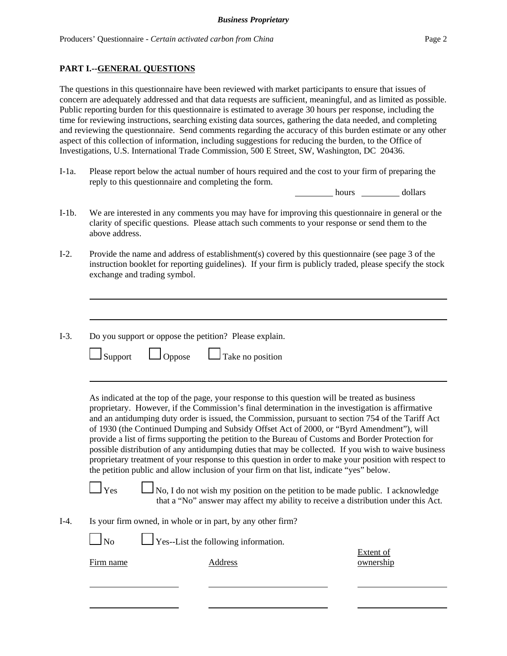## **PART I.--GENERAL QUESTIONS**

The questions in this questionnaire have been reviewed with market participants to ensure that issues of concern are adequately addressed and that data requests are sufficient, meaningful, and as limited as possible. Public reporting burden for this questionnaire is estimated to average 30 hours per response, including the time for reviewing instructions, searching existing data sources, gathering the data needed, and completing and reviewing the questionnaire. Send comments regarding the accuracy of this burden estimate or any other aspect of this collection of information, including suggestions for reducing the burden, to the Office of Investigations, U.S. International Trade Commission, 500 E Street, SW, Washington, DC 20436.

I-1a. Please report below the actual number of hours required and the cost to your firm of preparing the reply to this questionnaire and completing the form.

hours dollars

- I-1b. We are interested in any comments you may have for improving this questionnaire in general or the clarity of specific questions. Please attach such comments to your response or send them to the above address.
- I-2. Provide the name and address of establishment(s) covered by this questionnaire (see page 3 of the instruction booklet for reporting guidelines). If your firm is publicly traded, please specify the stock exchange and trading symbol.
- I-3. Do you support or oppose the petition? Please explain.

|  | $\Box$ Support |  | $\Box$ Oppose |  | $\Box$ Take no position |
|--|----------------|--|---------------|--|-------------------------|
|--|----------------|--|---------------|--|-------------------------|

As indicated at the top of the page, your response to this question will be treated as business proprietary. However, if the Commission's final determination in the investigation is affirmative and an antidumping duty order is issued, the Commission, pursuant to section 754 of the Tariff Act of 1930 (the Continued Dumping and Subsidy Offset Act of 2000, or "Byrd Amendment"), will provide a list of firms supporting the petition to the Bureau of Customs and Border Protection for possible distribution of any antidumping duties that may be collected. If you wish to waive business proprietary treatment of your response to this question in order to make your position with respect to the petition public and allow inclusion of your firm on that list, indicate "yes" below.

 $\Box$  Yes  $\Box$  No, I do not wish my position on the petition to be made public. I acknowledge that a "No" answer may affect my ability to receive a distribution under this Act.

I-4. Is your firm owned, in whole or in part, by any other firm?

 $\log N$  Yes--List the following information.

Firm name Address ownership

Extent of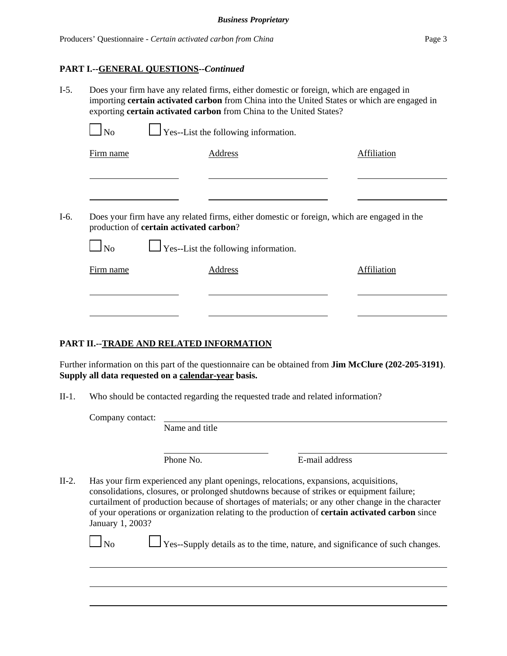## **PART I.--GENERAL QUESTIONS--***Continued*

| $I-5.$ | Does your firm have any related firms, either domestic or foreign, which are engaged in<br>importing certain activated carbon from China into the United States or which are engaged in<br>exporting certain activated carbon from China to the United States? |  |                                             |                    |  |
|--------|----------------------------------------------------------------------------------------------------------------------------------------------------------------------------------------------------------------------------------------------------------------|--|---------------------------------------------|--------------------|--|
|        | $\Box$ No                                                                                                                                                                                                                                                      |  | $\Box$ Yes--List the following information. |                    |  |
|        | Firm name                                                                                                                                                                                                                                                      |  | Address                                     | Affiliation        |  |
|        |                                                                                                                                                                                                                                                                |  |                                             |                    |  |
| $I-6.$ | Does your firm have any related firms, either domestic or foreign, which are engaged in the<br>production of certain activated carbon?                                                                                                                         |  |                                             |                    |  |
|        | $\Box$ No                                                                                                                                                                                                                                                      |  | $\Box$ Yes--List the following information. |                    |  |
|        | Firm name                                                                                                                                                                                                                                                      |  | <b>Address</b>                              | <b>Affiliation</b> |  |
|        |                                                                                                                                                                                                                                                                |  |                                             |                    |  |
|        |                                                                                                                                                                                                                                                                |  |                                             |                    |  |

# **PART II.--TRADE AND RELATED INFORMATION**

Further information on this part of the questionnaire can be obtained from **Jim McClure (202-205-3191)**. **Supply all data requested on a calendar-year basis.**

II-1. Who should be contacted regarding the requested trade and related information?

Company contact:

Name and title

Phone No. **E-mail address** 

II-2. Has your firm experienced any plant openings, relocations, expansions, acquisitions, consolidations, closures, or prolonged shutdowns because of strikes or equipment failure; curtailment of production because of shortages of materials; or any other change in the character of your operations or organization relating to the production of **certain activated carbon** since January 1, 2003?

 $\Box$  Yes--Supply details as to the time, nature, and significance of such changes.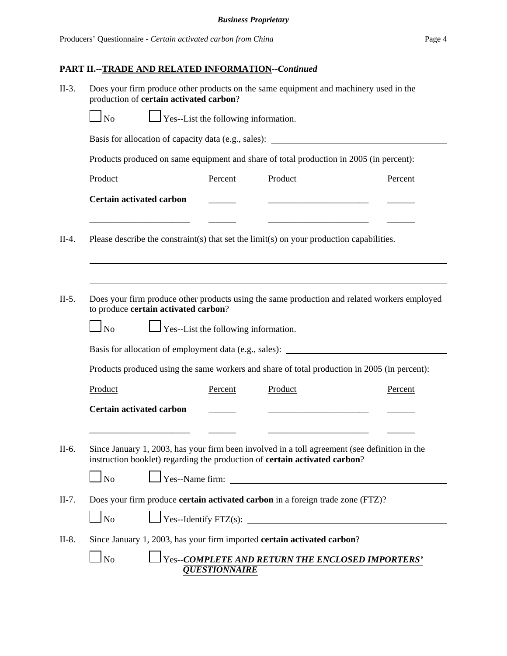| $II-3.$ | Does your firm produce other products on the same equipment and machinery used in the<br>production of certain activated carbon?                                            |                      |         |                                                                                   |  |
|---------|-----------------------------------------------------------------------------------------------------------------------------------------------------------------------------|----------------------|---------|-----------------------------------------------------------------------------------|--|
|         | $\Box$ Yes--List the following information.<br>$\ln$                                                                                                                        |                      |         |                                                                                   |  |
|         | Basis for allocation of capacity data (e.g., sales): ____________________________                                                                                           |                      |         |                                                                                   |  |
|         | Products produced on same equipment and share of total production in 2005 (in percent):                                                                                     |                      |         |                                                                                   |  |
|         | Product                                                                                                                                                                     | Percent              | Product | Percent                                                                           |  |
|         | <b>Certain activated carbon</b>                                                                                                                                             |                      |         |                                                                                   |  |
| $II-4.$ | Please describe the constraint(s) that set the $\text{limit}(s)$ on your production capabilities.                                                                           |                      |         |                                                                                   |  |
| $II-5.$ | Does your firm produce other products using the same production and related workers employed                                                                                |                      |         |                                                                                   |  |
|         |                                                                                                                                                                             |                      |         | Basis for allocation of employment data (e.g., sales): __________________________ |  |
|         | Products produced using the same workers and share of total production in 2005 (in percent):                                                                                |                      |         |                                                                                   |  |
|         | Product                                                                                                                                                                     | Percent              | Product | Percent                                                                           |  |
|         | <b>Certain activated carbon</b>                                                                                                                                             |                      |         |                                                                                   |  |
| II-6.   | Since January 1, 2003, has your firm been involved in a toll agreement (see definition in the<br>instruction booklet) regarding the production of certain activated carbon? |                      |         |                                                                                   |  |
|         | $\Box$ No                                                                                                                                                                   |                      |         | Yes--Name firm:                                                                   |  |
| $II-7.$ | Does your firm produce certain activated carbon in a foreign trade zone (FTZ)?                                                                                              |                      |         |                                                                                   |  |
|         | $\Box$ No                                                                                                                                                                   |                      |         |                                                                                   |  |
| $II-8.$ | Since January 1, 2003, has your firm imported certain activated carbon?                                                                                                     |                      |         |                                                                                   |  |
|         | $\ln$                                                                                                                                                                       | <b>QUESTIONNAIRE</b> |         | <b>The SECOMPLETE AND RETURN THE ENCLOSED IMPORTERS'</b>                          |  |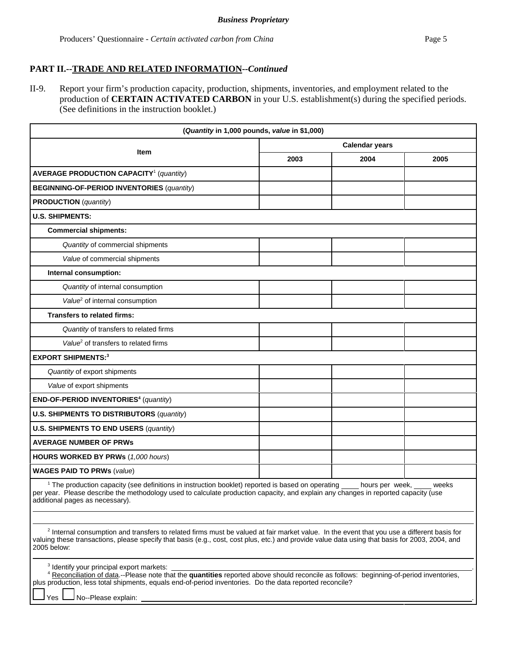II-9. Report your firm's production capacity, production, shipments, inventories, and employment related to the production of **CERTAIN ACTIVATED CARBON** in your U.S. establishment(s) during the specified periods. (See definitions in the instruction booklet.)

| (Quantity in 1,000 pounds, value in \$1,000)                                                                                                                                                                                                                                                                                                         |                       |      |       |
|------------------------------------------------------------------------------------------------------------------------------------------------------------------------------------------------------------------------------------------------------------------------------------------------------------------------------------------------------|-----------------------|------|-------|
|                                                                                                                                                                                                                                                                                                                                                      | <b>Calendar years</b> |      |       |
| Item                                                                                                                                                                                                                                                                                                                                                 | 2003                  | 2004 | 2005  |
| <b>AVERAGE PRODUCTION CAPACITY<sup>1</sup></b> (quantity)                                                                                                                                                                                                                                                                                            |                       |      |       |
| <b>BEGINNING-OF-PERIOD INVENTORIES (quantity)</b>                                                                                                                                                                                                                                                                                                    |                       |      |       |
| <b>PRODUCTION</b> (quantity)                                                                                                                                                                                                                                                                                                                         |                       |      |       |
| <b>U.S. SHIPMENTS:</b>                                                                                                                                                                                                                                                                                                                               |                       |      |       |
| <b>Commercial shipments:</b>                                                                                                                                                                                                                                                                                                                         |                       |      |       |
| Quantity of commercial shipments                                                                                                                                                                                                                                                                                                                     |                       |      |       |
| Value of commercial shipments                                                                                                                                                                                                                                                                                                                        |                       |      |       |
| Internal consumption:                                                                                                                                                                                                                                                                                                                                |                       |      |       |
| Quantity of internal consumption                                                                                                                                                                                                                                                                                                                     |                       |      |       |
| Value <sup>2</sup> of internal consumption                                                                                                                                                                                                                                                                                                           |                       |      |       |
| Transfers to related firms:                                                                                                                                                                                                                                                                                                                          |                       |      |       |
| Quantity of transfers to related firms                                                                                                                                                                                                                                                                                                               |                       |      |       |
| Value <sup>2</sup> of transfers to related firms                                                                                                                                                                                                                                                                                                     |                       |      |       |
| <b>EXPORT SHIPMENTS:3</b>                                                                                                                                                                                                                                                                                                                            |                       |      |       |
| Quantity of export shipments                                                                                                                                                                                                                                                                                                                         |                       |      |       |
| Value of export shipments                                                                                                                                                                                                                                                                                                                            |                       |      |       |
| END-OF-PERIOD INVENTORIES <sup>4</sup> (quantity)                                                                                                                                                                                                                                                                                                    |                       |      |       |
| <b>U.S. SHIPMENTS TO DISTRIBUTORS (quantity)</b>                                                                                                                                                                                                                                                                                                     |                       |      |       |
| U.S. SHIPMENTS TO END USERS (quantity)                                                                                                                                                                                                                                                                                                               |                       |      |       |
| <b>AVERAGE NUMBER OF PRWS</b>                                                                                                                                                                                                                                                                                                                        |                       |      |       |
| HOURS WORKED BY PRWs (1,000 hours)                                                                                                                                                                                                                                                                                                                   |                       |      |       |
| <b>WAGES PAID TO PRWs (value)</b>                                                                                                                                                                                                                                                                                                                    |                       |      |       |
| <sup>1</sup> The production capacity (see definitions in instruction booklet) reported is based on operating ____ hours per week, ___ wee<br>per year. Please describe the methodology used to calculate production capacity, and explain<br>additional pages as necessary).                                                                         |                       |      | weeks |
| <sup>2</sup> Internal consumption and transfers to related firms must be valued at fair market value. In the event that you use a different basis for<br>valuing these transactions, please specify that basis (e.g., cost, cost plus, etc.) and provide value data using that basis for 2003, 2004, and<br>2005 below:                              |                       |      |       |
| <sup>3</sup> Identify your principal export markets:<br><sup>4</sup> Reconciliation of data.--Please note that the quantities reported above should reconcile as follows: beginning-of-period inventories,<br>plus production, less total shipments, equals end-of-period inventories. Do the data reported reconcile?<br>No--Please explain:<br>'es |                       |      |       |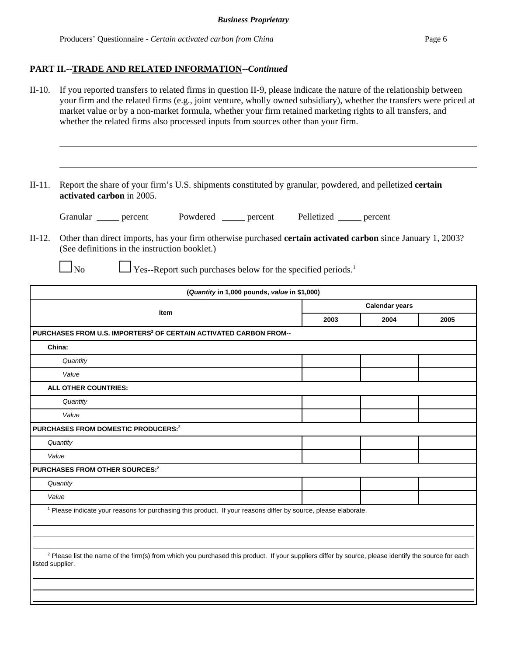II-10. If you reported transfers to related firms in question II-9, please indicate the nature of the relationship between your firm and the related firms (e.g., joint venture, wholly owned subsidiary), whether the transfers were priced at market value or by a non-market formula, whether your firm retained marketing rights to all transfers, and whether the related firms also processed inputs from sources other than your firm.

II-11. Report the share of your firm's U.S. shipments constituted by granular, powdered, and pelletized **certain activated carbon** in 2005.

Granular percent Powdered percent Pelletized percent

- II-12. Other than direct imports, has your firm otherwise purchased **certain activated carbon** since January 1, 2003? (See definitions in the instruction booklet.)
	-

 $\Box$  No  $\Box$  Yes--Report such purchases below for the specified periods.<sup>1</sup>

| (Quantity in 1,000 pounds, value in \$1,000)                                                                                                                                        |                       |      |      |
|-------------------------------------------------------------------------------------------------------------------------------------------------------------------------------------|-----------------------|------|------|
|                                                                                                                                                                                     | <b>Calendar years</b> |      |      |
| Item                                                                                                                                                                                | 2003                  | 2004 | 2005 |
| PURCHASES FROM U.S. IMPORTERS <sup>2</sup> OF CERTAIN ACTIVATED CARBON FROM--                                                                                                       |                       |      |      |
| China:                                                                                                                                                                              |                       |      |      |
| Quantity                                                                                                                                                                            |                       |      |      |
| Value                                                                                                                                                                               |                       |      |      |
| <b>ALL OTHER COUNTRIES:</b>                                                                                                                                                         |                       |      |      |
| Quantity                                                                                                                                                                            |                       |      |      |
| Value                                                                                                                                                                               |                       |      |      |
| <b>PURCHASES FROM DOMESTIC PRODUCERS:2</b>                                                                                                                                          |                       |      |      |
| Quantity                                                                                                                                                                            |                       |      |      |
| Value                                                                                                                                                                               |                       |      |      |
| <b>PURCHASES FROM OTHER SOURCES:2</b>                                                                                                                                               |                       |      |      |
| Quantity                                                                                                                                                                            |                       |      |      |
| Value                                                                                                                                                                               |                       |      |      |
| <sup>1</sup> Please indicate your reasons for purchasing this product. If your reasons differ by source, please elaborate.                                                          |                       |      |      |
|                                                                                                                                                                                     |                       |      |      |
|                                                                                                                                                                                     |                       |      |      |
| <sup>2</sup> Please list the name of the firm(s) from which you purchased this product. If your suppliers differ by source, please identify the source for each<br>listed supplier. |                       |      |      |
|                                                                                                                                                                                     |                       |      |      |
|                                                                                                                                                                                     |                       |      |      |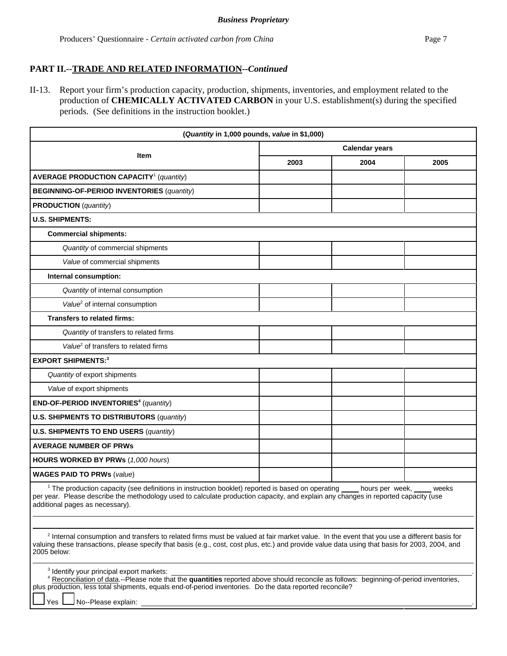II-13. Report your firm's production capacity, production, shipments, inventories, and employment related to the production of **CHEMICALLY ACTIVATED CARBON** in your U.S. establishment(s) during the specified periods. (See definitions in the instruction booklet.)

| (Quantity in 1,000 pounds, value in \$1,000)                                                                                                                                                                                                                                                                                              |                       |      |      |
|-------------------------------------------------------------------------------------------------------------------------------------------------------------------------------------------------------------------------------------------------------------------------------------------------------------------------------------------|-----------------------|------|------|
|                                                                                                                                                                                                                                                                                                                                           | <b>Calendar years</b> |      |      |
| Item                                                                                                                                                                                                                                                                                                                                      | 2003                  | 2004 | 2005 |
| <b>AVERAGE PRODUCTION CAPACITY<sup>1</sup></b> (quantity)                                                                                                                                                                                                                                                                                 |                       |      |      |
| <b>BEGINNING-OF-PERIOD INVENTORIES (quantity)</b>                                                                                                                                                                                                                                                                                         |                       |      |      |
| <b>PRODUCTION</b> (quantity)                                                                                                                                                                                                                                                                                                              |                       |      |      |
| <b>U.S. SHIPMENTS:</b>                                                                                                                                                                                                                                                                                                                    |                       |      |      |
| <b>Commercial shipments:</b>                                                                                                                                                                                                                                                                                                              |                       |      |      |
| Quantity of commercial shipments                                                                                                                                                                                                                                                                                                          |                       |      |      |
| Value of commercial shipments                                                                                                                                                                                                                                                                                                             |                       |      |      |
| Internal consumption:                                                                                                                                                                                                                                                                                                                     |                       |      |      |
| Quantity of internal consumption                                                                                                                                                                                                                                                                                                          |                       |      |      |
| Value <sup>2</sup> of internal consumption                                                                                                                                                                                                                                                                                                |                       |      |      |
| <b>Transfers to related firms:</b>                                                                                                                                                                                                                                                                                                        |                       |      |      |
| Quantity of transfers to related firms                                                                                                                                                                                                                                                                                                    |                       |      |      |
| Value <sup>2</sup> of transfers to related firms                                                                                                                                                                                                                                                                                          |                       |      |      |
| <b>EXPORT SHIPMENTS:3</b>                                                                                                                                                                                                                                                                                                                 |                       |      |      |
| Quantity of export shipments                                                                                                                                                                                                                                                                                                              |                       |      |      |
| Value of export shipments                                                                                                                                                                                                                                                                                                                 |                       |      |      |
| END-OF-PERIOD INVENTORIES <sup>4</sup> (quantity)                                                                                                                                                                                                                                                                                         |                       |      |      |
| <b>U.S. SHIPMENTS TO DISTRIBUTORS (quantity)</b>                                                                                                                                                                                                                                                                                          |                       |      |      |
| <b>U.S. SHIPMENTS TO END USERS (quantity)</b>                                                                                                                                                                                                                                                                                             |                       |      |      |
| <b>AVERAGE NUMBER OF PRWS</b>                                                                                                                                                                                                                                                                                                             |                       |      |      |
| HOURS WORKED BY PRWs (1,000 hours)                                                                                                                                                                                                                                                                                                        |                       |      |      |
| <b>WAGES PAID TO PRWs (value)</b>                                                                                                                                                                                                                                                                                                         |                       |      |      |
| <sup>1</sup> The production capacity (see definitions in instruction booklet) reported is based on operating ____ hours per week, ____ wee<br>per year. Please describe the methodology used to calculate production capacity, and explain<br>weeks<br>additional pages as necessary).                                                    |                       |      |      |
| <sup>2</sup> Internal consumption and transfers to related firms must be valued at fair market value. In the event that you use a different basis for<br>valuing these transactions, please specify that basis (e.g., cost, cost plus, etc.) and provide value data using that basis for 2003, 2004, and<br>2005 below:                   |                       |      |      |
| <sup>3</sup> Identify your principal export markets:<br>4 Reconciliation of data.--Please note that the quantities reported above should reconcile as follows: beginning-of-period inventories,<br>plus production, less total shipments, equals end-of-period inventories. Do the data reported reconcile?<br>No--Please explain:<br>Yes |                       |      |      |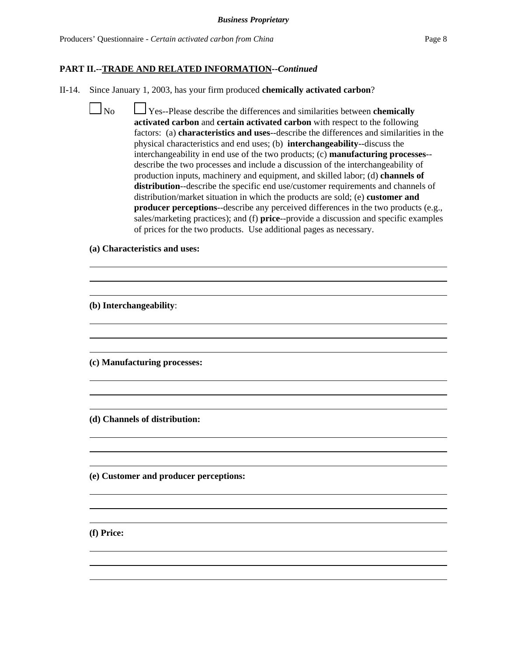- II-14. Since January 1, 2003, has your firm produced **chemically activated carbon**?
	- No Yes--Please describe the differences and similarities between **chemically activated carbon** and **certain activated carbon** with respect to the following factors: (a) **characteristics and uses**--describe the differences and similarities in the physical characteristics and end uses; (b) **interchangeability**--discuss the interchangeability in end use of the two products; (c) **manufacturing processes**- describe the two processes and include a discussion of the interchangeability of production inputs, machinery and equipment, and skilled labor; (d) **channels of distribution**--describe the specific end use/customer requirements and channels of distribution/market situation in which the products are sold; (e) **customer and producer perceptions-**-describe any perceived differences in the two products (e.g., sales/marketing practices); and (f) **price**--provide a discussion and specific examples of prices for the two products. Use additional pages as necessary.

 $\overline{a}$  $\overline{a}$ 

 $\overline{a}$  $\overline{a}$ 

 $\overline{a}$  $\overline{a}$ 

 $\overline{a}$  $\overline{a}$ 

 $\overline{a}$  $\overline{a}$ 

 $\overline{a}$  $\overline{a}$ 

**(a) Characteristics and uses:**

**(b) Interchangeability**:

**(c) Manufacturing processes:**

**(d) Channels of distribution:**

**(e) Customer and producer perceptions:**

**(f) Price:**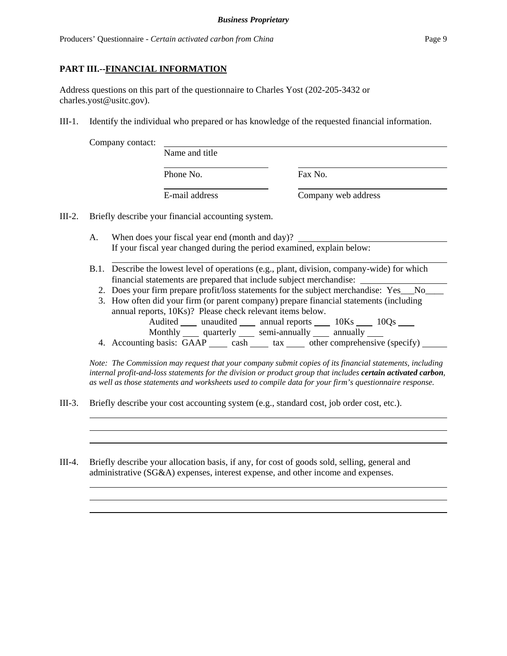#### **PART III.--FINANCIAL INFORMATION**

Address questions on this part of the questionnaire to Charles Yost (202-205-3432 or charles.yost@usitc.gov).

III-1. Identify the individual who prepared or has knowledge of the requested financial information.

| Phone No. |  |
|-----------|--|
|           |  |

Name and title

Fax No.

E-mail address Company web address

- III-2. Briefly describe your financial accounting system.
	- A. When does your fiscal year end (month and day)? If your fiscal year changed during the period examined, explain below:
	- B.1. Describe the lowest level of operations (e.g., plant, division, company-wide) for which financial statements are prepared that include subject merchandise:
		- 2. Does your firm prepare profit/loss statements for the subject merchandise: Yes No
		- 3. How often did your firm (or parent company) prepare financial statements (including annual reports, 10Ks)? Please check relevant items below. Audited \_\_\_\_\_ unaudited \_\_\_\_\_\_ annual reports \_\_\_\_\_\_ 10Ks \_\_\_\_\_ 10Qs \_\_\_\_\_
		- Monthly quarterly semi-annually annually 4. Accounting basis: GAAP cash tax \_\_ other comprehensive (specify) \_\_\_\_\_

*Note: The Commission may request that your company submit copies of its financial statements, including internal profit-and-loss statements for the division or product group that includes certain activated carbon, as well as those statements and worksheets used to compile data for your firm's questionnaire response.*

III-3. Briefly describe your cost accounting system (e.g., standard cost, job order cost, etc.).

III-4. Briefly describe your allocation basis, if any, for cost of goods sold, selling, general and administrative (SG&A) expenses, interest expense, and other income and expenses.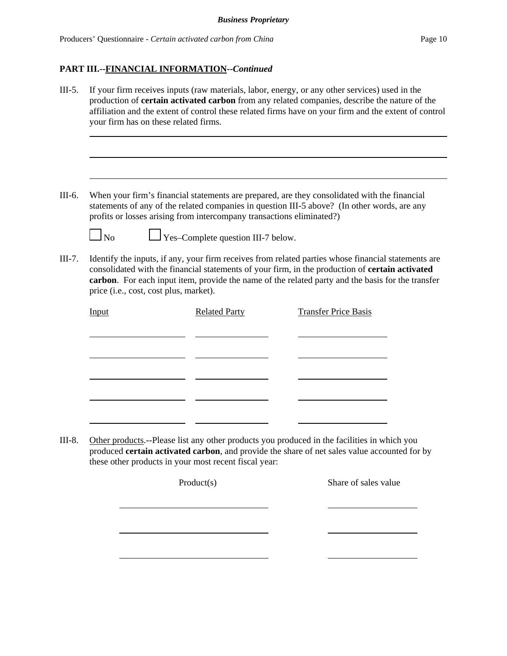- III-5. If your firm receives inputs (raw materials, labor, energy, or any other services) used in the production of **certain activated carbon** from any related companies, describe the nature of the affiliation and the extent of control these related firms have on your firm and the extent of control your firm has on these related firms.
- III-6. When your firm's financial statements are prepared, are they consolidated with the financial statements of any of the related companies in question III-5 above? (In other words, are any profits or losses arising from intercompany transactions eliminated?)

 $\Box$  No  $\Box$  Yes–Complete question III-7 below.

III-7. Identify the inputs, if any, your firm receives from related parties whose financial statements are consolidated with the financial statements of your firm, in the production of **certain activated carbon**. For each input item, provide the name of the related party and the basis for the transfer price (i.e., cost, cost plus, market).

| <b>Input</b> | <b>Related Party</b> | <b>Transfer Price Basis</b> |
|--------------|----------------------|-----------------------------|
|              |                      |                             |
|              |                      |                             |
|              |                      |                             |
|              |                      |                             |
|              |                      |                             |
|              |                      |                             |

III-8. Other products.--Please list any other products you produced in the facilities in which you produced **certain activated carbon**, and provide the share of net sales value accounted for by these other products in your most recent fiscal year:

Product(s) Share of sales value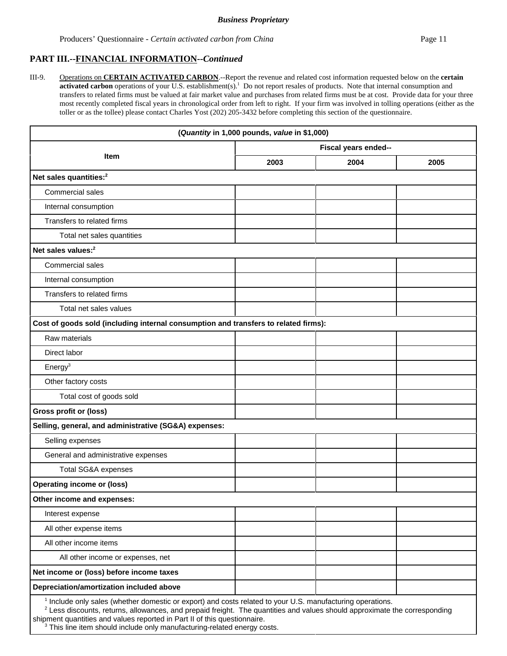III-9. Operations on **CERTAIN ACTIVATED CARBON**.--Report the revenue and related cost information requested below on the **certain** activated carbon operations of your U.S. establishment(s).<sup>1</sup> Do not report resales of products. Note that internal consumption and transfers to related firms must be valued at fair market value and purchases from related firms must be at cost. Provide data for your three most recently completed fiscal years in chronological order from left to right. If your firm was involved in tolling operations (either as the toller or as the tollee) please contact Charles Yost (202) 205-3432 before completing this section of the questionnaire.

|                                                                                                              | (Quantity in 1,000 pounds, value in \$1,000) |      |      |  |
|--------------------------------------------------------------------------------------------------------------|----------------------------------------------|------|------|--|
|                                                                                                              | Fiscal years ended--                         |      |      |  |
| <b>Item</b>                                                                                                  | 2003                                         | 2004 | 2005 |  |
| Net sales quantities: <sup>2</sup>                                                                           |                                              |      |      |  |
| Commercial sales                                                                                             |                                              |      |      |  |
| Internal consumption                                                                                         |                                              |      |      |  |
| Transfers to related firms                                                                                   |                                              |      |      |  |
| Total net sales quantities                                                                                   |                                              |      |      |  |
| Net sales values: <sup>2</sup>                                                                               |                                              |      |      |  |
| Commercial sales                                                                                             |                                              |      |      |  |
| Internal consumption                                                                                         |                                              |      |      |  |
| Transfers to related firms                                                                                   |                                              |      |      |  |
| Total net sales values                                                                                       |                                              |      |      |  |
| Cost of goods sold (including internal consumption and transfers to related firms):                          |                                              |      |      |  |
| Raw materials                                                                                                |                                              |      |      |  |
| Direct labor                                                                                                 |                                              |      |      |  |
| Energy <sup>3</sup>                                                                                          |                                              |      |      |  |
| Other factory costs                                                                                          |                                              |      |      |  |
| Total cost of goods sold                                                                                     |                                              |      |      |  |
| <b>Gross profit or (loss)</b>                                                                                |                                              |      |      |  |
| Selling, general, and administrative (SG&A) expenses:                                                        |                                              |      |      |  |
| Selling expenses                                                                                             |                                              |      |      |  |
| General and administrative expenses                                                                          |                                              |      |      |  |
| Total SG&A expenses                                                                                          |                                              |      |      |  |
| <b>Operating income or (loss)</b>                                                                            |                                              |      |      |  |
| Other income and expenses:                                                                                   |                                              |      |      |  |
| Interest expense                                                                                             |                                              |      |      |  |
| All other expense items                                                                                      |                                              |      |      |  |
| All other income items                                                                                       |                                              |      |      |  |
| All other income or expenses, net                                                                            |                                              |      |      |  |
| Net income or (loss) before income taxes                                                                     |                                              |      |      |  |
| Depreciation/amortization included above                                                                     |                                              |      |      |  |
| $1$ lookide only soles (whether demostic argy avant) and seets related to your LLS, manufacturing energtians |                                              |      |      |  |

Include only sales (whether domestic or export) and costs related to your U.S. manufacturing operations.

 $2$  Less discounts, returns, allowances, and prepaid freight. The quantities and values should approximate the corresponding shipment quantities and values reported in Part II of this questionnaire.

<sup>3</sup> This line item should include only manufacturing-related energy costs.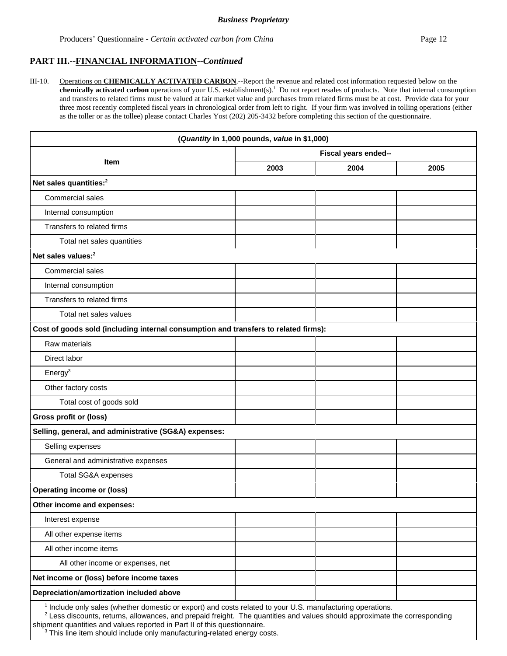III-10. Operations on **CHEMICALLY ACTIVATED CARBON**.--Report the revenue and related cost information requested below on the chemically activated carbon operations of your U.S. establishment(s).<sup>1</sup> Do not report resales of products. Note that internal consumption and transfers to related firms must be valued at fair market value and purchases from related firms must be at cost. Provide data for your three most recently completed fiscal years in chronological order from left to right. If your firm was involved in tolling operations (either as the toller or as the tollee) please contact Charles Yost (202) 205-3432 before completing this section of the questionnaire.

| (Quantity in 1,000 pounds, value in \$1,000)                                                                          |                      |      |      |
|-----------------------------------------------------------------------------------------------------------------------|----------------------|------|------|
|                                                                                                                       | Fiscal years ended-- |      |      |
| Item                                                                                                                  | 2003                 | 2004 | 2005 |
| Net sales quantities: <sup>2</sup>                                                                                    |                      |      |      |
| Commercial sales                                                                                                      |                      |      |      |
| Internal consumption                                                                                                  |                      |      |      |
| Transfers to related firms                                                                                            |                      |      |      |
| Total net sales quantities                                                                                            |                      |      |      |
| Net sales values: <sup>2</sup>                                                                                        |                      |      |      |
| Commercial sales                                                                                                      |                      |      |      |
| Internal consumption                                                                                                  |                      |      |      |
| Transfers to related firms                                                                                            |                      |      |      |
| Total net sales values                                                                                                |                      |      |      |
| Cost of goods sold (including internal consumption and transfers to related firms):                                   |                      |      |      |
| Raw materials                                                                                                         |                      |      |      |
| Direct labor                                                                                                          |                      |      |      |
| Energy <sup>3</sup>                                                                                                   |                      |      |      |
| Other factory costs                                                                                                   |                      |      |      |
| Total cost of goods sold                                                                                              |                      |      |      |
| <b>Gross profit or (loss)</b>                                                                                         |                      |      |      |
| Selling, general, and administrative (SG&A) expenses:                                                                 |                      |      |      |
| Selling expenses                                                                                                      |                      |      |      |
| General and administrative expenses                                                                                   |                      |      |      |
| Total SG&A expenses                                                                                                   |                      |      |      |
| <b>Operating income or (loss)</b>                                                                                     |                      |      |      |
| Other income and expenses:                                                                                            |                      |      |      |
| Interest expense                                                                                                      |                      |      |      |
| All other expense items                                                                                               |                      |      |      |
| All other income items                                                                                                |                      |      |      |
| All other income or expenses, net                                                                                     |                      |      |      |
| Net income or (loss) before income taxes                                                                              |                      |      |      |
| Depreciation/amortization included above                                                                              |                      |      |      |
| <sup>1</sup> Include only sales (whether domestic or export) and costs related to your U.S. manufacturing operations. |                      |      |      |

2 Less discounts, returns, allowances, and prepaid freight. The quantities and values should approximate the corresponding shipment quantities and values reported in Part II of this questionnaire.

<sup>3</sup> This line item should include only manufacturing-related energy costs.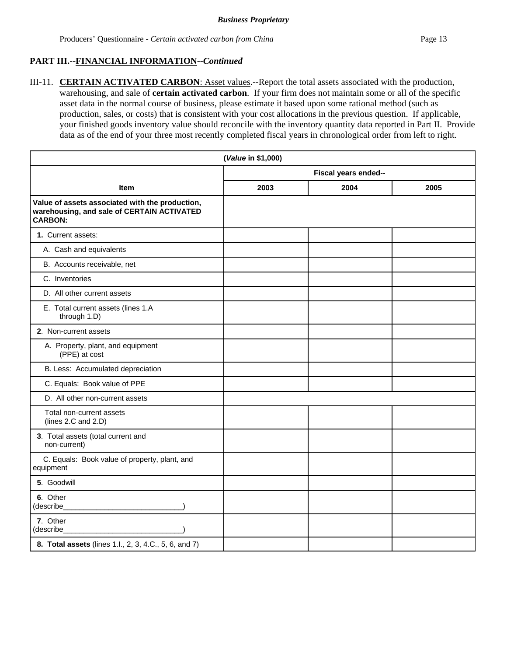III-11. **CERTAIN ACTIVATED CARBON**: Asset values.--Report the total assets associated with the production, warehousing, and sale of **certain activated carbon**. If your firm does not maintain some or all of the specific asset data in the normal course of business, please estimate it based upon some rational method (such as production, sales, or costs) that is consistent with your cost allocations in the previous question. If applicable, your finished goods inventory value should reconcile with the inventory quantity data reported in Part II. Provide data as of the end of your three most recently completed fiscal years in chronological order from left to right.

| (Value in \$1,000)                                                                                              |                      |      |      |
|-----------------------------------------------------------------------------------------------------------------|----------------------|------|------|
|                                                                                                                 | Fiscal years ended-- |      |      |
| <b>Item</b>                                                                                                     | 2003                 | 2004 | 2005 |
| Value of assets associated with the production,<br>warehousing, and sale of CERTAIN ACTIVATED<br><b>CARBON:</b> |                      |      |      |
| 1. Current assets:                                                                                              |                      |      |      |
| A. Cash and equivalents                                                                                         |                      |      |      |
| B. Accounts receivable, net                                                                                     |                      |      |      |
| C. Inventories                                                                                                  |                      |      |      |
| D. All other current assets                                                                                     |                      |      |      |
| E. Total current assets (lines 1.A<br>through 1.D)                                                              |                      |      |      |
| 2. Non-current assets                                                                                           |                      |      |      |
| A. Property, plant, and equipment<br>(PPE) at cost                                                              |                      |      |      |
| B. Less: Accumulated depreciation                                                                               |                      |      |      |
| C. Equals: Book value of PPE                                                                                    |                      |      |      |
| D. All other non-current assets                                                                                 |                      |      |      |
| Total non-current assets<br>(lines $2.C$ and $2.D$ )                                                            |                      |      |      |
| 3. Total assets (total current and<br>non-current)                                                              |                      |      |      |
| C. Equals: Book value of property, plant, and<br>equipment                                                      |                      |      |      |
| 5. Goodwill                                                                                                     |                      |      |      |
| 6. Other<br>(describe                                                                                           |                      |      |      |
| 7. Other<br>(describe                                                                                           |                      |      |      |
| 8. Total assets (lines 1.l., 2, 3, 4.C., 5, 6, and 7)                                                           |                      |      |      |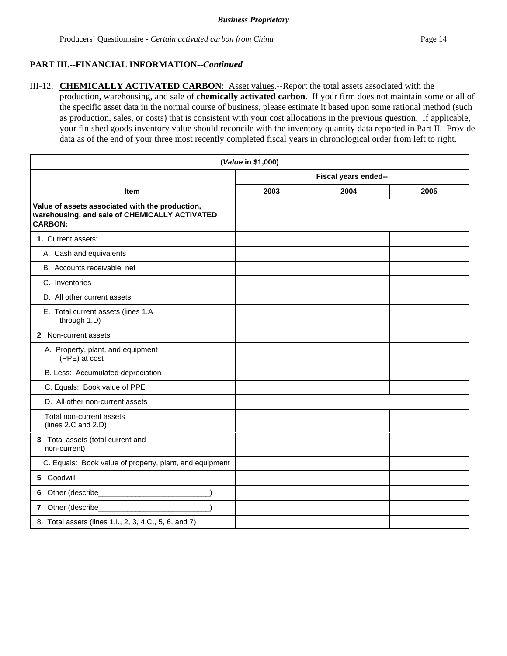III-12. **CHEMICALLY ACTIVATED CARBON**: Asset values.--Report the total assets associated with the production, warehousing, and sale of **chemically activated carbon**. If your firm does not maintain some or all of the specific asset data in the normal course of business, please estimate it based upon some rational method (such as production, sales, or costs) that is consistent with your cost allocations in the previous question. If applicable, your finished goods inventory value should reconcile with the inventory quantity data reported in Part II. Provide data as of the end of your three most recently completed fiscal years in chronological order from left to right.

| (Value in \$1,000)                                                                                                 |                      |      |      |
|--------------------------------------------------------------------------------------------------------------------|----------------------|------|------|
|                                                                                                                    | Fiscal years ended-- |      |      |
| <b>Item</b>                                                                                                        | 2003                 | 2004 | 2005 |
| Value of assets associated with the production,<br>warehousing, and sale of CHEMICALLY ACTIVATED<br><b>CARBON:</b> |                      |      |      |
| 1. Current assets:                                                                                                 |                      |      |      |
| A. Cash and equivalents                                                                                            |                      |      |      |
| B. Accounts receivable, net                                                                                        |                      |      |      |
| C. Inventories                                                                                                     |                      |      |      |
| D. All other current assets                                                                                        |                      |      |      |
| E. Total current assets (lines 1.A<br>through 1.D)                                                                 |                      |      |      |
| 2. Non-current assets                                                                                              |                      |      |      |
| A. Property, plant, and equipment<br>(PPE) at cost                                                                 |                      |      |      |
| B. Less: Accumulated depreciation                                                                                  |                      |      |      |
| C. Equals: Book value of PPE                                                                                       |                      |      |      |
| D. All other non-current assets                                                                                    |                      |      |      |
| Total non-current assets<br>(lines 2.C and 2.D)                                                                    |                      |      |      |
| 3. Total assets (total current and<br>non-current)                                                                 |                      |      |      |
| C. Equals: Book value of property, plant, and equipment                                                            |                      |      |      |
| 5. Goodwill                                                                                                        |                      |      |      |
|                                                                                                                    |                      |      |      |
| 7. Other (describe_                                                                                                |                      |      |      |
| 8. Total assets (lines 1.l., 2, 3, 4.C., 5, 6, and 7)                                                              |                      |      |      |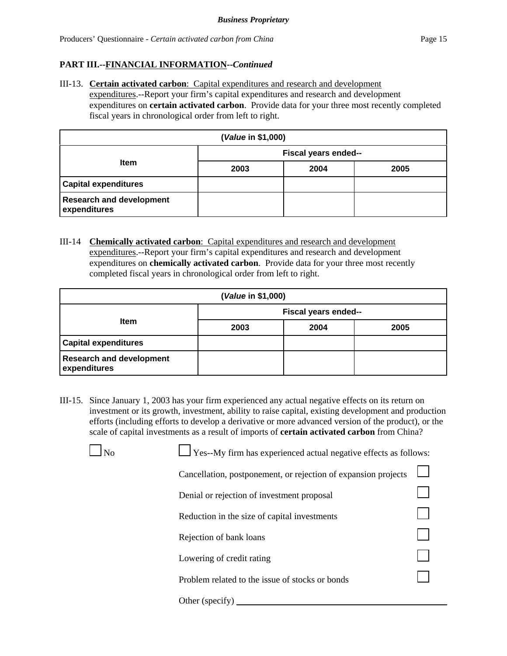III-13. **Certain activated carbon**: Capital expenditures and research and development expenditures.--Report your firm's capital expenditures and research and development expenditures on **certain activated carbon**. Provide data for your three most recently completed fiscal years in chronological order from left to right.

| (Value in \$1,000)                              |                      |      |      |  |
|-------------------------------------------------|----------------------|------|------|--|
|                                                 | Fiscal years ended-- |      |      |  |
| <b>Item</b>                                     | 2003                 | 2004 | 2005 |  |
| <b>Capital expenditures</b>                     |                      |      |      |  |
| <b>Research and development</b><br>expenditures |                      |      |      |  |

III-14 **Chemically activated carbon**: Capital expenditures and research and development expenditures.--Report your firm's capital expenditures and research and development expenditures on **chemically activated carbon**. Provide data for your three most recently completed fiscal years in chronological order from left to right.

| (Value in \$1,000)                              |                             |      |      |
|-------------------------------------------------|-----------------------------|------|------|
|                                                 | <b>Fiscal years ended--</b> |      |      |
| <b>Item</b>                                     | 2003                        | 2004 | 2005 |
| <b>Capital expenditures</b>                     |                             |      |      |
| <b>Research and development</b><br>expenditures |                             |      |      |

III-15. Since January 1, 2003 has your firm experienced any actual negative effects on its return on investment or its growth, investment, ability to raise capital, existing development and production efforts (including efforts to develop a derivative or more advanced version of the product), or the scale of capital investments as a result of imports of **certain activated carbon** from China?

| N <sub>0</sub> | Yes--My firm has experienced actual negative effects as follows: |  |
|----------------|------------------------------------------------------------------|--|
|                | Cancellation, postponement, or rejection of expansion projects   |  |
|                | Denial or rejection of investment proposal                       |  |
|                | Reduction in the size of capital investments                     |  |
|                | Rejection of bank loans                                          |  |
|                | Lowering of credit rating                                        |  |
|                | Problem related to the issue of stocks or bonds                  |  |
|                | Other (specify)                                                  |  |
|                |                                                                  |  |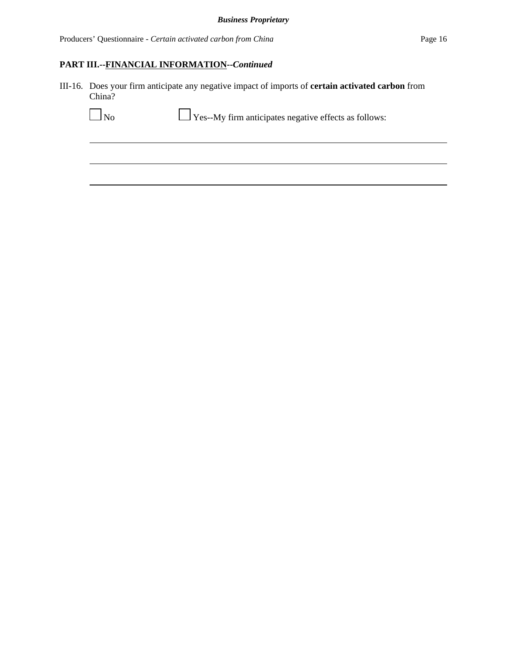Producers' Questionnaire - *Certain activated carbon from China* Page 16

# **PART III.--FINANCIAL INFORMATION--***Continued*

III-16. Does your firm anticipate any negative impact of imports of **certain activated carbon** from China?

| N <sub>o</sub> | $\Box$ Yes--My firm anticipates negative effects as follows: |
|----------------|--------------------------------------------------------------|
|                |                                                              |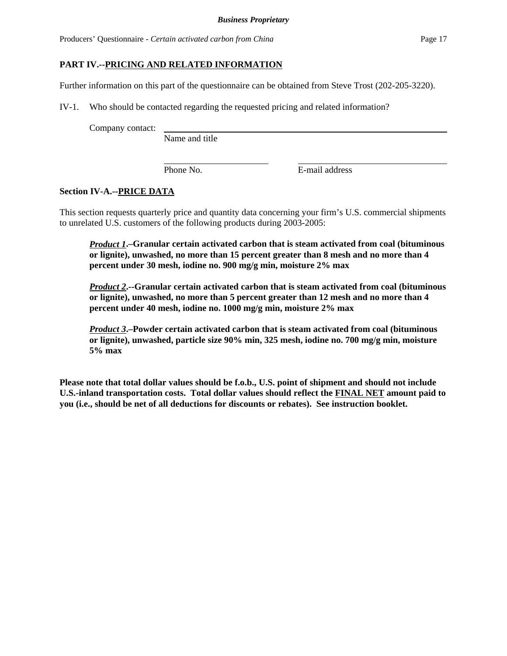Producers' Questionnaire - *Certain activated carbon from China* Page 17

### **PART IV.--PRICING AND RELATED INFORMATION**

Further information on this part of the questionnaire can be obtained from Steve Trost (202-205-3220).

IV-1. Who should be contacted regarding the requested pricing and related information?

Company contact:

Name and title

Phone No. **E**-mail address

### **Section IV-A.--PRICE DATA**

This section requests quarterly price and quantity data concerning your firm's U.S. commercial shipments to unrelated U.S. customers of the following products during 2003-2005:

*Product 1***.–Granular certain activated carbon that is steam activated from coal (bituminous or lignite), unwashed, no more than 15 percent greater than 8 mesh and no more than 4 percent under 30 mesh, iodine no. 900 mg/g min, moisture 2% max**

*Product 2***.--Granular certain activated carbon that is steam activated from coal (bituminous or lignite), unwashed, no more than 5 percent greater than 12 mesh and no more than 4 percent under 40 mesh, iodine no. 1000 mg/g min, moisture 2% max**

*Product 3***.–Powder certain activated carbon that is steam activated from coal (bituminous or lignite), unwashed, particle size 90% min, 325 mesh, iodine no. 700 mg/g min, moisture 5% max**

**Please note that total dollar values should be f.o.b., U.S. point of shipment and should not include U.S.-inland transportation costs. Total dollar values should reflect the FINAL NET amount paid to you (i.e., should be net of all deductions for discounts or rebates). See instruction booklet.**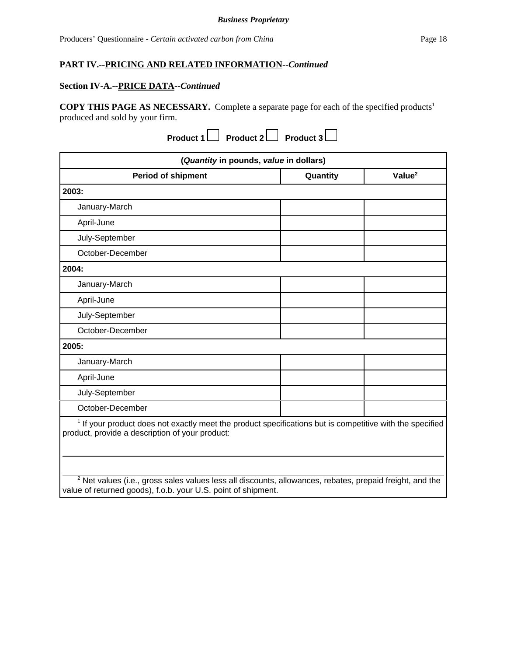#### **Section IV-A.--PRICE DATA--***Continued*

**COPY THIS PAGE AS NECESSARY.** Complete a separate page for each of the specified products<sup>1</sup> produced and sold by your firm.

| Product 1 $\Box$ Product 2 $\Box$ Product 3 $\Box$                                                                                                                     |          |                    |
|------------------------------------------------------------------------------------------------------------------------------------------------------------------------|----------|--------------------|
| (Quantity in pounds, value in dollars)                                                                                                                                 |          |                    |
| <b>Period of shipment</b>                                                                                                                                              | Quantity | Value <sup>2</sup> |
| 2003:                                                                                                                                                                  |          |                    |
| January-March                                                                                                                                                          |          |                    |
| April-June                                                                                                                                                             |          |                    |
| July-September                                                                                                                                                         |          |                    |
| October-December                                                                                                                                                       |          |                    |
| 2004:                                                                                                                                                                  |          |                    |
| January-March                                                                                                                                                          |          |                    |
| April-June                                                                                                                                                             |          |                    |
| July-September                                                                                                                                                         |          |                    |
| October-December                                                                                                                                                       |          |                    |
| 2005:                                                                                                                                                                  |          |                    |
| January-March                                                                                                                                                          |          |                    |
| April-June                                                                                                                                                             |          |                    |
| July-September                                                                                                                                                         |          |                    |
| October-December                                                                                                                                                       |          |                    |
| <sup>1</sup> If your product does not exactly meet the product specifications but is competitive with the specified<br>product, provide a description of your product: |          |                    |

 $^2$  Net values (i.e., gross sales values less all discounts, allowances, rebates, prepaid freight, and the value of returned goods), f.o.b. your U.S. point of shipment.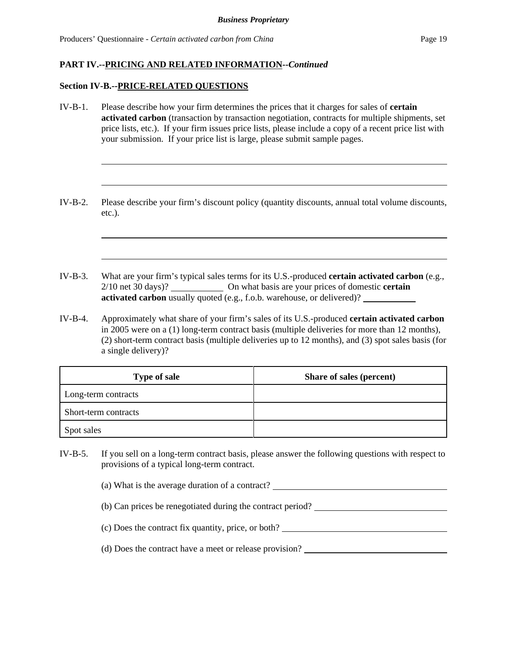#### **Section IV-B.--PRICE-RELATED QUESTIONS**

- IV-B-1. Please describe how your firm determines the prices that it charges for sales of **certain activated carbon** (transaction by transaction negotiation, contracts for multiple shipments, set price lists, etc.). If your firm issues price lists, please include a copy of a recent price list with your submission. If your price list is large, please submit sample pages.
- IV-B-2. Please describe your firm's discount policy (quantity discounts, annual total volume discounts, etc.).
- IV-B-3. What are your firm's typical sales terms for its U.S.-produced **certain activated carbon** (e.g., 2/10 net 30 days)? On what basis are your prices of domestic **certain activated carbon** usually quoted (e.g., f.o.b. warehouse, or delivered)?
- IV-B-4. Approximately what share of your firm's sales of its U.S.-produced **certain activated carbon** in 2005 were on a (1) long-term contract basis (multiple deliveries for more than 12 months), (2) short-term contract basis (multiple deliveries up to 12 months), and (3) spot sales basis (for a single delivery)?

| <b>Type of sale</b>  | Share of sales (percent) |
|----------------------|--------------------------|
| Long-term contracts  |                          |
| Short-term contracts |                          |
| Spot sales           |                          |

- IV-B-5. If you sell on a long-term contract basis, please answer the following questions with respect to provisions of a typical long-term contract.
	- (a) What is the average duration of a contract?
	- (b) Can prices be renegotiated during the contract period?
	- (c) Does the contract fix quantity, price, or both?
	- (d) Does the contract have a meet or release provision?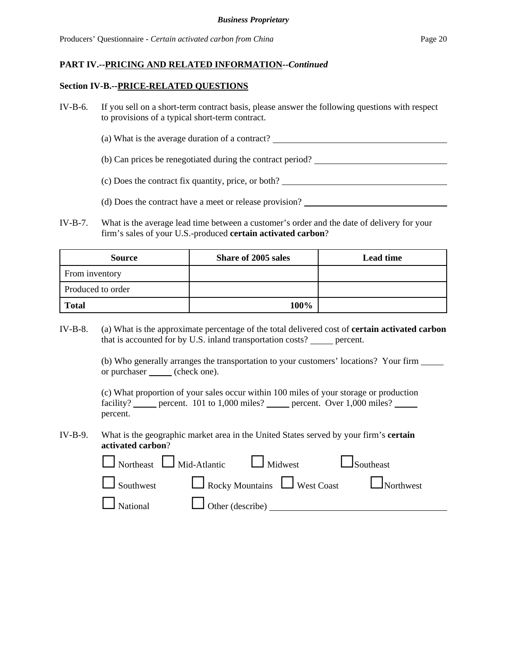#### **Section IV-B.--PRICE-RELATED QUESTIONS**

- IV-B-6. If you sell on a short-term contract basis, please answer the following questions with respect to provisions of a typical short-term contract.
	- (a) What is the average duration of a contract?
	- (b) Can prices be renegotiated during the contract period?
	- (c) Does the contract fix quantity, price, or both?
	- (d) Does the contract have a meet or release provision?
- IV-B-7. What is the average lead time between a customer's order and the date of delivery for your firm's sales of your U.S.-produced **certain activated carbon**?

| <b>Source</b>     | Share of 2005 sales | <b>Lead time</b> |
|-------------------|---------------------|------------------|
| From inventory    |                     |                  |
| Produced to order |                     |                  |
| <b>Total</b>      | 100%                |                  |

IV-B-8. (a) What is the approximate percentage of the total delivered cost of **certain activated carbon** that is accounted for by U.S. inland transportation costs? \_\_\_\_\_\_ percent.

> (b) Who generally arranges the transportation to your customers' locations? Your firm or purchaser \_\_\_\_\_ (check one).

(c) What proportion of your sales occur within 100 miles of your storage or production facility? percent. 101 to 1,000 miles? percent. Over 1,000 miles? percent.

IV-B-9. What is the geographic market area in the United States served by your firm's **certain activated carbon**?

|                                                | $\Box$ Northeast $\Box$ Mid-Atlantic $\Box$ Midwest | $\Box$ Southeast                               |
|------------------------------------------------|-----------------------------------------------------|------------------------------------------------|
|                                                |                                                     | Southwest Rocky Mountains West Coast Northwest |
| $\Box$ National $\Box$ Other (describe) $\Box$ |                                                     |                                                |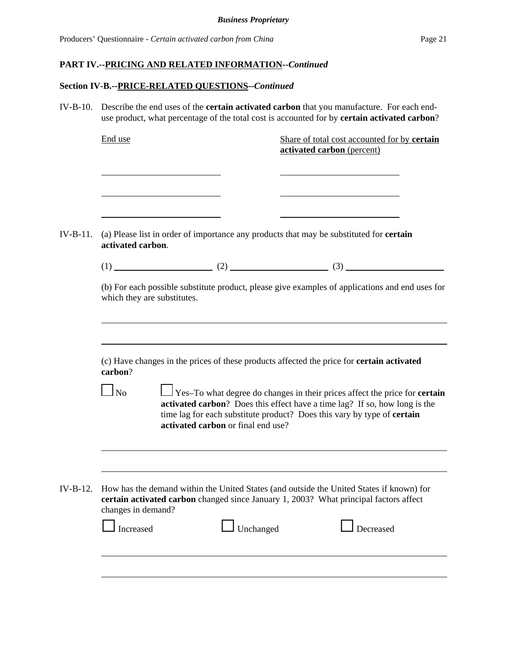# **Section IV-B.--PRICE-RELATED QUESTIONS--***Continued*

| $IV-B-10.$ |                             |                                                                                                | Describe the end uses of the <b>certain activated carbon</b> that you manufacture. For each end-<br>use product, what percentage of the total cost is accounted for by certain activated carbon?                                           |
|------------|-----------------------------|------------------------------------------------------------------------------------------------|--------------------------------------------------------------------------------------------------------------------------------------------------------------------------------------------------------------------------------------------|
|            | End use                     |                                                                                                | Share of total cost accounted for by certain<br>activated carbon (percent)                                                                                                                                                                 |
|            |                             |                                                                                                |                                                                                                                                                                                                                                            |
| $IV-B-11.$ | activated carbon.           | (a) Please list in order of importance any products that may be substituted for <b>certain</b> |                                                                                                                                                                                                                                            |
|            |                             |                                                                                                | $(1)$ (2) (3)                                                                                                                                                                                                                              |
|            | which they are substitutes. |                                                                                                | (b) For each possible substitute product, please give examples of applications and end uses for                                                                                                                                            |
|            |                             |                                                                                                |                                                                                                                                                                                                                                            |
|            | carbon?                     |                                                                                                | (c) Have changes in the prices of these products affected the price for <b>certain activated</b>                                                                                                                                           |
|            | $\Box$ No                   | activated carbon or final end use?                                                             | Yes–To what degree do changes in their prices affect the price for <b>certain</b><br>activated carbon? Does this effect have a time lag? If so, how long is the<br>time lag for each substitute product? Does this vary by type of certain |
|            |                             |                                                                                                |                                                                                                                                                                                                                                            |
| $IV-B-12.$ | changes in demand?          |                                                                                                | How has the demand within the United States (and outside the United States if known) for<br>certain activated carbon changed since January 1, 2003? What principal factors affect                                                          |
|            | Increased                   | Unchanged                                                                                      | Decreased                                                                                                                                                                                                                                  |
|            |                             |                                                                                                |                                                                                                                                                                                                                                            |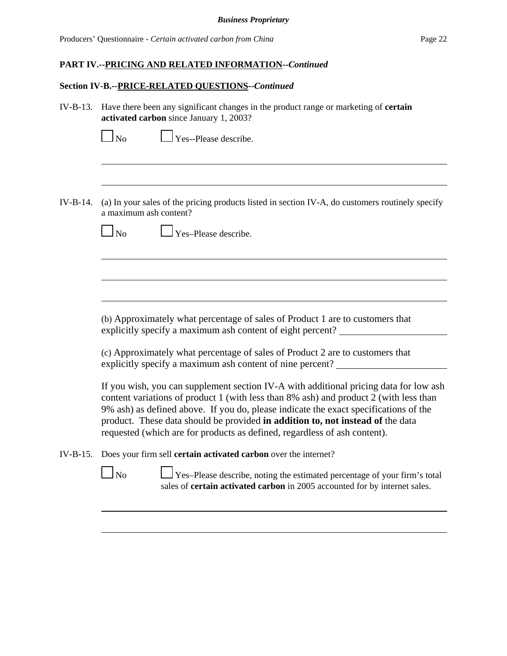Producers' Questionnaire - *Certain activated carbon from China* Page 22

#### **PART IV.--PRICING AND RELATED INFORMATION--***Continued*

#### **Section IV-B.--PRICE-RELATED QUESTIONS--***Continued*

IV-B-13. Have there been any significant changes in the product range or marketing of **certain activated carbon** since January 1, 2003?

Yes--Please describe.

IV-B-14. (a) In your sales of the pricing products listed in section IV-A, do customers routinely specify a maximum ash content?



No Yes–Please describe.

(b) Approximately what percentage of sales of Product 1 are to customers that explicitly specify a maximum ash content of eight percent?

(c) Approximately what percentage of sales of Product 2 are to customers that explicitly specify a maximum ash content of nine percent?

If you wish, you can supplement section IV-A with additional pricing data for low ash content variations of product 1 (with less than 8% ash) and product 2 (with less than 9% ash) as defined above. If you do, please indicate the exact specifications of the product. These data should be provided **in addition to, not instead of** the data requested (which are for products as defined, regardless of ash content).

IV-B-15. Does your firm sell **certain activated carbon** over the internet?



 $\Box$  No  $\Box$  Yes–Please describe, noting the estimated percentage of your firm's total sales of **certain activated carbon** in 2005 accounted for by internet sales.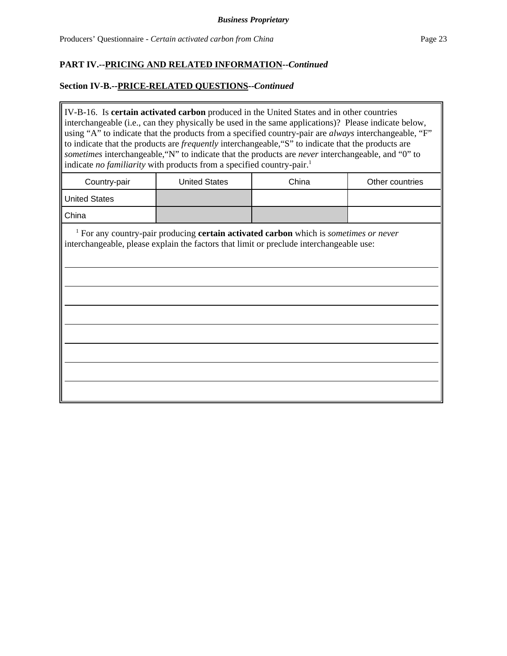### **Section IV-B.--PRICE-RELATED QUESTIONS--***Continued*

IV-B-16. Is **certain activated carbon** produced in the United States and in other countries interchangeable (i.e., can they physically be used in the same applications)? Please indicate below, using "A" to indicate that the products from a specified country-pair are *always* interchangeable, "F" to indicate that the products are *frequently* interchangeable,"S" to indicate that the products are *sometimes* interchangeable,"N" to indicate that the products are *never* interchangeable, and "0" to indicate *no familiarity* with products from a specified country-pair.<sup>1</sup>

| Country-pair         | <b>United States</b> | China | Other countries |
|----------------------|----------------------|-------|-----------------|
| <b>United States</b> |                      |       |                 |
| China                |                      |       |                 |

 <sup>1</sup> For any country-pair producing **certain activated carbon** which is *sometimes or never* interchangeable, please explain the factors that limit or preclude interchangeable use: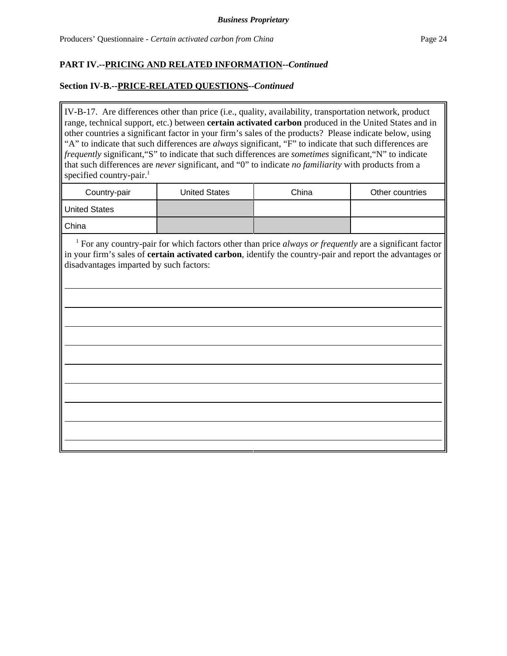## **Section IV-B.--PRICE-RELATED QUESTIONS--***Continued*

IV-B-17. Are differences other than price (i.e., quality, availability, transportation network, product range, technical support, etc.) between **certain activated carbon** produced in the United States and in other countries a significant factor in your firm's sales of the products? Please indicate below, using "A" to indicate that such differences are *always* significant, "F" to indicate that such differences are *frequently* significant,"S" to indicate that such differences are *sometimes* significant,"N" to indicate that such differences are *never* significant, and "0" to indicate *no familiarity* with products from a specified country-pair. $<sup>1</sup>$ </sup>

| Country-pair         | <b>United States</b> | China | Other countries |
|----------------------|----------------------|-------|-----------------|
| <b>United States</b> |                      |       |                 |
| China                |                      |       |                 |

<sup>1</sup> For any country-pair for which factors other than price *always or frequently* are a significant factor in your firm's sales of **certain activated carbon**, identify the country-pair and report the advantages or disadvantages imparted by such factors: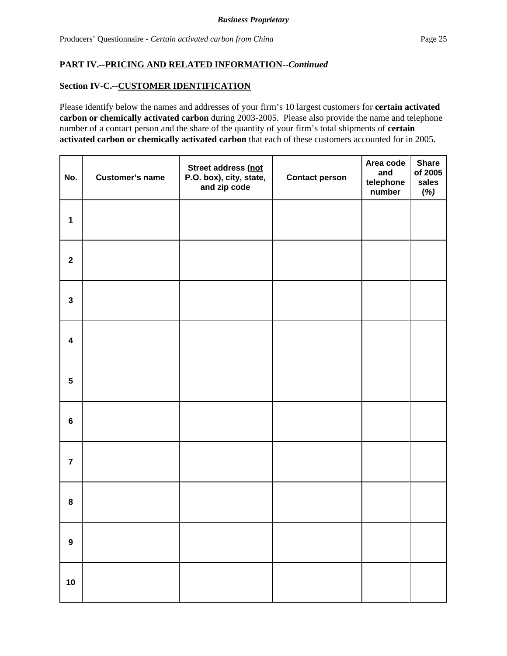## **Section IV-C.--CUSTOMER IDENTIFICATION**

Please identify below the names and addresses of your firm's 10 largest customers for **certain activated carbon or chemically activated carbon** during 2003-2005. Please also provide the name and telephone number of a contact person and the share of the quantity of your firm's total shipments of **certain activated carbon or chemically activated carbon** that each of these customers accounted for in 2005.

| No.                     | <b>Customer's name</b> | Street address (not<br>P.O. box), city, state,<br>and zip code | <b>Contact person</b> | Area code<br>and<br>telephone<br>number | <b>Share</b><br>of 2005<br>sales<br>(%) |
|-------------------------|------------------------|----------------------------------------------------------------|-----------------------|-----------------------------------------|-----------------------------------------|
| $\mathbf{1}$            |                        |                                                                |                       |                                         |                                         |
| $\mathbf 2$             |                        |                                                                |                       |                                         |                                         |
| $\mathbf{3}$            |                        |                                                                |                       |                                         |                                         |
| $\overline{\mathbf{4}}$ |                        |                                                                |                       |                                         |                                         |
| $5\phantom{.0}$         |                        |                                                                |                       |                                         |                                         |
| $\bf 6$                 |                        |                                                                |                       |                                         |                                         |
| $\overline{7}$          |                        |                                                                |                       |                                         |                                         |
| 8                       |                        |                                                                |                       |                                         |                                         |
| $\boldsymbol{9}$        |                        |                                                                |                       |                                         |                                         |
| $10$                    |                        |                                                                |                       |                                         |                                         |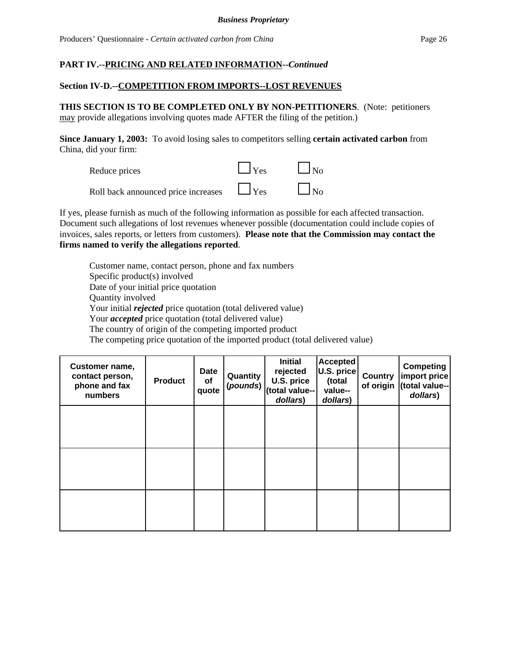## **Section IV-D.--COMPETITION FROM IMPORTS--LOST REVENUES**

**THIS SECTION IS TO BE COMPLETED ONLY BY NON-PETITIONERS**. (Note: petitioners may provide allegations involving quotes made AFTER the filing of the petition.)

**Since January 1, 2003:** To avoid losing sales to competitors selling **certain activated carbon** from China, did your firm:



If yes, please furnish as much of the following information as possible for each affected transaction. Document such allegations of lost revenues whenever possible (documentation could include copies of invoices, sales reports, or letters from customers). **Please note that the Commission may contact the firms named to verify the allegations reported**.

Customer name, contact person, phone and fax numbers Specific product(s) involved Date of your initial price quotation Quantity involved Your initial *rejected* price quotation (total delivered value) Your *accepted* price quotation (total delivered value) The country of origin of the competing imported product The competing price quotation of the imported product (total delivered value)

| <b>Customer name,</b><br>contact person,<br>phone and fax<br>numbers | <b>Product</b> | Date<br><b>of</b><br>quote | Quantity<br>(pounds) | <b>Initial</b><br>rejected<br>U.S. price<br>(total value--<br>dollars) | <b>Accepted</b><br>U.S. price<br>(total<br>value--<br>dollars) | Country<br>of origin | Competing<br>import price<br>(total value--<br>dollars) |
|----------------------------------------------------------------------|----------------|----------------------------|----------------------|------------------------------------------------------------------------|----------------------------------------------------------------|----------------------|---------------------------------------------------------|
|                                                                      |                |                            |                      |                                                                        |                                                                |                      |                                                         |
|                                                                      |                |                            |                      |                                                                        |                                                                |                      |                                                         |
|                                                                      |                |                            |                      |                                                                        |                                                                |                      |                                                         |